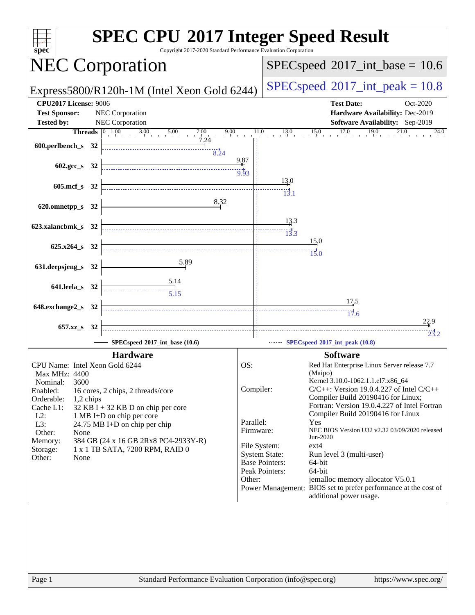| spec <sup>®</sup>                                      | <b>SPEC CPU®2017 Integer Speed Result</b><br>Copyright 2017-2020 Standard Performance Evaluation Corporation                  |                                            |                                            |                                                                                                     |  |  |
|--------------------------------------------------------|-------------------------------------------------------------------------------------------------------------------------------|--------------------------------------------|--------------------------------------------|-----------------------------------------------------------------------------------------------------|--|--|
| <b>NEC Corporation</b>                                 |                                                                                                                               | $SPEC speed^{\circ}2017\_int\_base = 10.6$ |                                            |                                                                                                     |  |  |
|                                                        | Express5800/R120h-1M (Intel Xeon Gold 6244)                                                                                   |                                            | $SPEC speed^{\circ}2017\_int\_peak = 10.8$ |                                                                                                     |  |  |
| <b>CPU2017 License: 9006</b>                           |                                                                                                                               |                                            |                                            | <b>Test Date:</b><br>Oct-2020                                                                       |  |  |
| <b>Test Sponsor:</b>                                   | NEC Corporation                                                                                                               |                                            |                                            | Hardware Availability: Dec-2019                                                                     |  |  |
| <b>Tested by:</b>                                      | NEC Corporation                                                                                                               |                                            |                                            | Software Availability: Sep-2019                                                                     |  |  |
|                                                        | <b>Threads</b> $\begin{array}{ c c c c c } \hline 1.00 & 3.00 & 5.00 & 7.00 & 9 \\ & & 7.24 & 7.24 & & \\ \hline \end{array}$ | 9.00                                       |                                            | $11.0$ $13.0$ $15.0$ $17.0$ $19.0$ $21.0$<br>24.0                                                   |  |  |
| 600.perlbench_s 32                                     | 8.24                                                                                                                          |                                            |                                            |                                                                                                     |  |  |
|                                                        |                                                                                                                               | 9.87                                       |                                            |                                                                                                     |  |  |
| 602.gcc_s 32                                           |                                                                                                                               | $\frac{11}{9.93}$                          |                                            |                                                                                                     |  |  |
| 605.mcf_s 32                                           |                                                                                                                               |                                            | $\frac{13.0}{4}$                           |                                                                                                     |  |  |
|                                                        |                                                                                                                               |                                            | $\frac{1}{3}$ .1                           |                                                                                                     |  |  |
| 620.omnetpp_s 32                                       | 8.32                                                                                                                          |                                            |                                            |                                                                                                     |  |  |
|                                                        |                                                                                                                               |                                            | 13.3                                       |                                                                                                     |  |  |
| 623.xalancbmk_s 32                                     |                                                                                                                               |                                            | $\overline{13.3}$                          |                                                                                                     |  |  |
|                                                        |                                                                                                                               |                                            |                                            | 15.0                                                                                                |  |  |
| $625.x264_s$ 32                                        |                                                                                                                               |                                            |                                            | 15.0                                                                                                |  |  |
| 631.deepsjeng_s 32                                     | 5.89                                                                                                                          |                                            |                                            |                                                                                                     |  |  |
|                                                        |                                                                                                                               |                                            |                                            |                                                                                                     |  |  |
| 641.leela_s 32                                         | $\frac{5.14}{5.15}$                                                                                                           |                                            |                                            |                                                                                                     |  |  |
|                                                        |                                                                                                                               |                                            |                                            | <u>17.5</u>                                                                                         |  |  |
| 648.exchange2_s 32                                     |                                                                                                                               |                                            |                                            | $\frac{17}{17.6}$                                                                                   |  |  |
| 657.xz_s 32                                            |                                                                                                                               |                                            |                                            | 22.9                                                                                                |  |  |
|                                                        |                                                                                                                               |                                            |                                            | 23.2                                                                                                |  |  |
|                                                        | SPECspeed*2017_int_base (10.6)                                                                                                |                                            |                                            | SPECspeed®2017_int_peak (10.8)                                                                      |  |  |
|                                                        | <b>Hardware</b>                                                                                                               |                                            |                                            | <b>Software</b>                                                                                     |  |  |
| CPU Name: Intel Xeon Gold 6244<br><b>Max MHz: 4400</b> |                                                                                                                               | OS:                                        |                                            | Red Hat Enterprise Linux Server release 7.7<br>(Maipo)                                              |  |  |
| 3600<br>Nominal:                                       |                                                                                                                               |                                            |                                            | Kernel 3.10.0-1062.1.1.el7.x86_64                                                                   |  |  |
| Enabled:                                               | 16 cores, 2 chips, 2 threads/core                                                                                             | Compiler:                                  |                                            | $C/C++$ : Version 19.0.4.227 of Intel $C/C++$<br>Compiler Build 20190416 for Linux;                 |  |  |
| Orderable:<br>1,2 chips<br>Cache L1:                   | 32 KB I + 32 KB D on chip per core                                                                                            |                                            |                                            | Fortran: Version 19.0.4.227 of Intel Fortran                                                        |  |  |
| $L2$ :                                                 | 1 MB I+D on chip per core                                                                                                     |                                            |                                            | Compiler Build 20190416 for Linux                                                                   |  |  |
| L3:                                                    | 24.75 MB I+D on chip per chip                                                                                                 | Parallel:<br>Firmware:                     |                                            | Yes<br>NEC BIOS Version U32 v2.32 03/09/2020 released                                               |  |  |
| Other:<br>None<br>Memory:                              | 384 GB (24 x 16 GB 2Rx8 PC4-2933Y-R)                                                                                          |                                            |                                            | Jun-2020                                                                                            |  |  |
| Storage:                                               | 1 x 1 TB SATA, 7200 RPM, RAID 0                                                                                               | File System:                               | <b>System State:</b>                       | $ext{4}$<br>Run level 3 (multi-user)                                                                |  |  |
| Other:<br>None                                         |                                                                                                                               |                                            | <b>Base Pointers:</b>                      | 64-bit                                                                                              |  |  |
|                                                        |                                                                                                                               |                                            | Peak Pointers:                             | 64-bit                                                                                              |  |  |
|                                                        |                                                                                                                               | Other:                                     |                                            | jemalloc memory allocator V5.0.1<br>Power Management: BIOS set to prefer performance at the cost of |  |  |
|                                                        |                                                                                                                               |                                            |                                            | additional power usage.                                                                             |  |  |
|                                                        |                                                                                                                               |                                            |                                            |                                                                                                     |  |  |
| Page 1                                                 | Standard Performance Evaluation Corporation (info@spec.org)                                                                   |                                            |                                            | https://www.spec.org/                                                                               |  |  |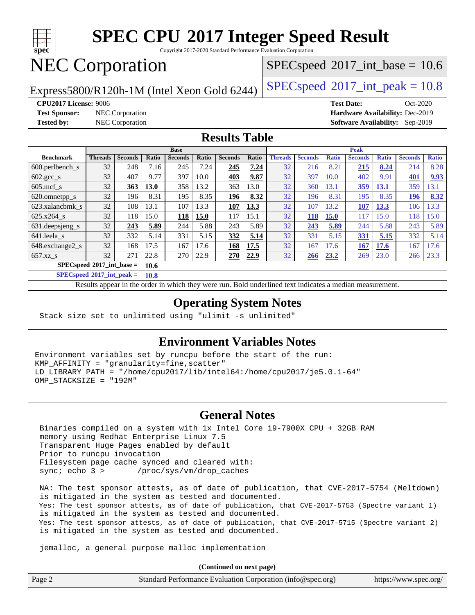

Copyright 2017-2020 Standard Performance Evaluation Corporation

## NEC Corporation

 $SPECspeed^{\circledcirc}2017\_int\_base = 10.6$  $SPECspeed^{\circledcirc}2017\_int\_base = 10.6$ 

Express5800/R120h-1M (Intel Xeon Gold 6244) [SPECspeed](http://www.spec.org/auto/cpu2017/Docs/result-fields.html#SPECspeed2017intpeak)<sup>®</sup>[2017\\_int\\_peak = 1](http://www.spec.org/auto/cpu2017/Docs/result-fields.html#SPECspeed2017intpeak)0.8

**[Test Sponsor:](http://www.spec.org/auto/cpu2017/Docs/result-fields.html#TestSponsor)** NEC Corporation **[Hardware Availability:](http://www.spec.org/auto/cpu2017/Docs/result-fields.html#HardwareAvailability)** Dec-2019

**[CPU2017 License:](http://www.spec.org/auto/cpu2017/Docs/result-fields.html#CPU2017License)** 9006 **[Test Date:](http://www.spec.org/auto/cpu2017/Docs/result-fields.html#TestDate)** Oct-2020 **[Tested by:](http://www.spec.org/auto/cpu2017/Docs/result-fields.html#Testedby)** NEC Corporation **[Software Availability:](http://www.spec.org/auto/cpu2017/Docs/result-fields.html#SoftwareAvailability)** Sep-2019

#### **[Results Table](http://www.spec.org/auto/cpu2017/Docs/result-fields.html#ResultsTable)**

|                                     | <b>Base</b>    |                |             |                |       |                | <b>Peak</b> |                |                |              |                |              |                |              |
|-------------------------------------|----------------|----------------|-------------|----------------|-------|----------------|-------------|----------------|----------------|--------------|----------------|--------------|----------------|--------------|
| <b>Benchmark</b>                    | <b>Threads</b> | <b>Seconds</b> | Ratio       | <b>Seconds</b> | Ratio | <b>Seconds</b> | Ratio       | <b>Threads</b> | <b>Seconds</b> | <b>Ratio</b> | <b>Seconds</b> | <b>Ratio</b> | <b>Seconds</b> | <b>Ratio</b> |
| $600.$ perlbench $\mathsf{S}$       | 32             | 248            | 7.16        | 245            | 7.24  | 245            | 7.24        | 32             | 216            | 8.21         | 215            | 8.24         | 214            | 8.28         |
| $602.\text{gcc}\_\text{s}$          | 32             | 407            | 9.77        | 397            | 10.0  | 403            | 9.87        | 32             | 397            | 10.0         | 402            | 9.91         | 401            | 9.93         |
| $605$ .mcf s                        | 32             | 363            | <b>13.0</b> | 358            | 13.2  | 363            | 13.0        | 32             | 360            | 13.1         | <u>359</u>     | 13.1         | 359            | 13.1         |
| 620.omnetpp_s                       | 32             | 196            | 8.31        | 195            | 8.35  | 196            | 8.32        | 32             | 196            | 8.31         | 195            | 8.35         | 196            | 8.32         |
| 623.xalancbmk s                     | 32             | 108            | 13.1        | 107            | 13.3  | 107            | 13.3        | 32             | 107            | 13.2         | 107            | 13.3         | 106            | 13.3         |
| 625.x264 s                          | 32             | 118            | 15.0        | 118            | 15.0  | 117            | 15.1        | 32             | 118            | <b>15.0</b>  | 117            | 15.0         | 118            | 15.0         |
| 631.deepsjeng_s                     | 32             | 243            | 5.89        | 244            | 5.88  | 243            | 5.89        | 32             | 243            | 5.89         | 244            | 5.88         | 243            | 5.89         |
| 641.leela s                         | 32             | 332            | 5.14        | 331            | 5.15  | 332            | 5.14        | 32             | 331            | 5.15         | 331            | 5.15         | 332            | 5.14         |
| 648.exchange2_s                     | 32             | 168            | 17.5        | 167            | 17.6  | 168            | 17.5        | 32             | 167            | 17.6         | 167            | 17.6         | 167            | 17.6         |
| $657.xz$ <sub>S</sub>               | 32             | 271            | 22.8        | 270            | 22.9  | 270            | 22.9        | 32             | 266            | 23.2         | 269            | 23.0         | 266            | 23.3         |
| $SPECspeed*2017$ int base =<br>10.6 |                |                |             |                |       |                |             |                |                |              |                |              |                |              |

**[SPECspeed](http://www.spec.org/auto/cpu2017/Docs/result-fields.html#SPECspeed2017intpeak)[2017\\_int\\_peak =](http://www.spec.org/auto/cpu2017/Docs/result-fields.html#SPECspeed2017intpeak) 10.8**

Results appear in the [order in which they were run.](http://www.spec.org/auto/cpu2017/Docs/result-fields.html#RunOrder) Bold underlined text [indicates a median measurement](http://www.spec.org/auto/cpu2017/Docs/result-fields.html#Median).

### **[Operating System Notes](http://www.spec.org/auto/cpu2017/Docs/result-fields.html#OperatingSystemNotes)**

Stack size set to unlimited using "ulimit -s unlimited"

#### **[Environment Variables Notes](http://www.spec.org/auto/cpu2017/Docs/result-fields.html#EnvironmentVariablesNotes)**

Environment variables set by runcpu before the start of the run: KMP\_AFFINITY = "granularity=fine,scatter" LD\_LIBRARY\_PATH = "/home/cpu2017/lib/intel64:/home/cpu2017/je5.0.1-64" OMP\_STACKSIZE = "192M"

#### **[General Notes](http://www.spec.org/auto/cpu2017/Docs/result-fields.html#GeneralNotes)**

 Binaries compiled on a system with 1x Intel Core i9-7900X CPU + 32GB RAM memory using Redhat Enterprise Linux 7.5 Transparent Huge Pages enabled by default Prior to runcpu invocation Filesystem page cache synced and cleared with: sync; echo 3 > /proc/sys/vm/drop\_caches

 NA: The test sponsor attests, as of date of publication, that CVE-2017-5754 (Meltdown) is mitigated in the system as tested and documented. Yes: The test sponsor attests, as of date of publication, that CVE-2017-5753 (Spectre variant 1) is mitigated in the system as tested and documented. Yes: The test sponsor attests, as of date of publication, that CVE-2017-5715 (Spectre variant 2) is mitigated in the system as tested and documented.

jemalloc, a general purpose malloc implementation

**(Continued on next page)**

| Page 2 | Standard Performance Evaluation Corporation (info@spec.org) | https://www.spec.org/ |
|--------|-------------------------------------------------------------|-----------------------|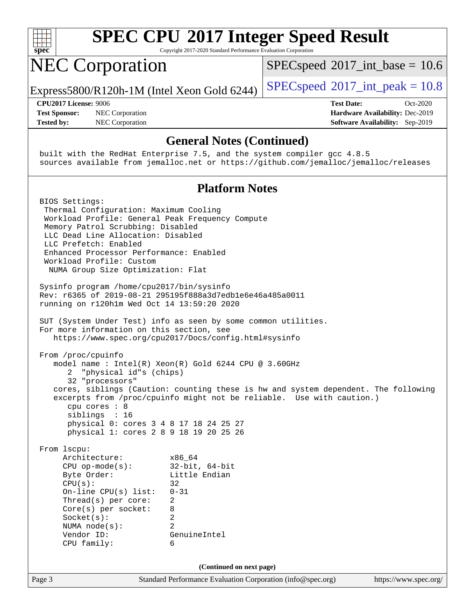

Copyright 2017-2020 Standard Performance Evaluation Corporation

# NEC Corporation

 $SPECspeed^{\circ}2017\_int\_base = 10.6$  $SPECspeed^{\circ}2017\_int\_base = 10.6$ 

Express5800/R120h-1M (Intel Xeon Gold 6244) [SPECspeed](http://www.spec.org/auto/cpu2017/Docs/result-fields.html#SPECspeed2017intpeak)<sup>®</sup>[2017\\_int\\_peak = 1](http://www.spec.org/auto/cpu2017/Docs/result-fields.html#SPECspeed2017intpeak)0.8

**[Test Sponsor:](http://www.spec.org/auto/cpu2017/Docs/result-fields.html#TestSponsor)** NEC Corporation **[Hardware Availability:](http://www.spec.org/auto/cpu2017/Docs/result-fields.html#HardwareAvailability)** Dec-2019 **[Tested by:](http://www.spec.org/auto/cpu2017/Docs/result-fields.html#Testedby)** NEC Corporation **[Software Availability:](http://www.spec.org/auto/cpu2017/Docs/result-fields.html#SoftwareAvailability)** Sep-2019

**[CPU2017 License:](http://www.spec.org/auto/cpu2017/Docs/result-fields.html#CPU2017License)** 9006 **[Test Date:](http://www.spec.org/auto/cpu2017/Docs/result-fields.html#TestDate)** Oct-2020

#### **[General Notes \(Continued\)](http://www.spec.org/auto/cpu2017/Docs/result-fields.html#GeneralNotes)**

 built with the RedHat Enterprise 7.5, and the system compiler gcc 4.8.5 sources available from jemalloc.net or <https://github.com/jemalloc/jemalloc/releases>

#### **[Platform Notes](http://www.spec.org/auto/cpu2017/Docs/result-fields.html#PlatformNotes)**

Page 3 Standard Performance Evaluation Corporation [\(info@spec.org\)](mailto:info@spec.org) <https://www.spec.org/> BIOS Settings: Thermal Configuration: Maximum Cooling Workload Profile: General Peak Frequency Compute Memory Patrol Scrubbing: Disabled LLC Dead Line Allocation: Disabled LLC Prefetch: Enabled Enhanced Processor Performance: Enabled Workload Profile: Custom NUMA Group Size Optimization: Flat Sysinfo program /home/cpu2017/bin/sysinfo Rev: r6365 of 2019-08-21 295195f888a3d7edb1e6e46a485a0011 running on r120h1m Wed Oct 14 13:59:20 2020 SUT (System Under Test) info as seen by some common utilities. For more information on this section, see <https://www.spec.org/cpu2017/Docs/config.html#sysinfo> From /proc/cpuinfo model name : Intel(R) Xeon(R) Gold 6244 CPU @ 3.60GHz 2 "physical id"s (chips) 32 "processors" cores, siblings (Caution: counting these is hw and system dependent. The following excerpts from /proc/cpuinfo might not be reliable. Use with caution.) cpu cores : 8 siblings : 16 physical 0: cores 3 4 8 17 18 24 25 27 physical 1: cores 2 8 9 18 19 20 25 26 From lscpu: Architecture: x86\_64 CPU op-mode(s): 32-bit, 64-bit Byte Order: Little Endian  $CPU(s):$  32 On-line CPU(s) list: 0-31 Thread(s) per core: 2 Core(s) per socket: 8 Socket(s): 2 NUMA node(s): 2 Vendor ID: GenuineIntel CPU family: 6 **(Continued on next page)**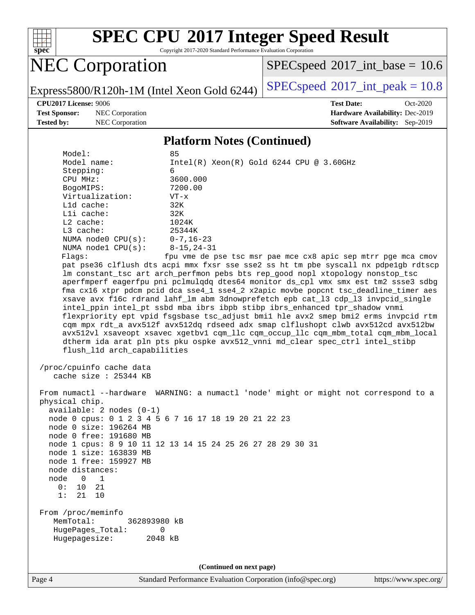

Copyright 2017-2020 Standard Performance Evaluation Corporation

## NEC Corporation

 $SPECspeed^{\circ}2017\_int\_base = 10.6$  $SPECspeed^{\circ}2017\_int\_base = 10.6$ 

Express5800/R120h-1M (Intel Xeon Gold 6244) [SPECspeed](http://www.spec.org/auto/cpu2017/Docs/result-fields.html#SPECspeed2017intpeak)<sup>®</sup>[2017\\_int\\_peak = 1](http://www.spec.org/auto/cpu2017/Docs/result-fields.html#SPECspeed2017intpeak)0.8

**[Test Sponsor:](http://www.spec.org/auto/cpu2017/Docs/result-fields.html#TestSponsor)** NEC Corporation **[Hardware Availability:](http://www.spec.org/auto/cpu2017/Docs/result-fields.html#HardwareAvailability)** Dec-2019 **[Tested by:](http://www.spec.org/auto/cpu2017/Docs/result-fields.html#Testedby)** NEC Corporation **[Software Availability:](http://www.spec.org/auto/cpu2017/Docs/result-fields.html#SoftwareAvailability)** Sep-2019

**[CPU2017 License:](http://www.spec.org/auto/cpu2017/Docs/result-fields.html#CPU2017License)** 9006 **[Test Date:](http://www.spec.org/auto/cpu2017/Docs/result-fields.html#TestDate)** Oct-2020

#### **[Platform Notes \(Continued\)](http://www.spec.org/auto/cpu2017/Docs/result-fields.html#PlatformNotes)**

| Model:                          | 85                                                                                   |
|---------------------------------|--------------------------------------------------------------------------------------|
| Model name:                     | $Intel(R)$ Xeon $(R)$ Gold 6244 CPU @ 3.60GHz                                        |
| Stepping:                       | 6                                                                                    |
| CPU MHz:                        | 3600.000                                                                             |
| BogoMIPS:                       | 7200.00                                                                              |
| Virtualization:                 | $VT - x$                                                                             |
| $L1d$ cache:                    | 32K                                                                                  |
| $L1i$ cache:                    | 32K                                                                                  |
| $L2$ cache:                     | 1024K                                                                                |
| $L3$ cache:                     | 25344K                                                                               |
| NUMA node0 $CPU(s): 0-7, 16-23$ |                                                                                      |
| NUMA $node1$ $CPU(s)$ :         | 8-15,24-31                                                                           |
| Flaqs:                          | fpu vme de pse tsc msr pae mce cx8 apic sep mtrr pge mca cmov                        |
|                                 | pat pse36 clflush dts acpi mmx fxsr sse sse2 ss ht tm pbe syscall nx pdpelgb rdtscp  |
|                                 | lm constant_tsc art arch_perfmon pebs bts rep_good nopl xtopology nonstop_tsc        |
|                                 | aperfmperf eagerfpu pni pclmulgdg dtes64 monitor ds cpl vmx smx est tm2 ssse3 sdbg   |
|                                 | fma cx16 xtpr pdcm pcid dca sse4 1 sse4 2 x2apic movbe popcnt tsc deadline timer aes |
|                                 | xsave avx f16c rdrand lahf 1m abm 3dnowprefetch epb cat 13 cdp 13 invpcid single     |
|                                 | intel_ppin intel_pt ssbd mba ibrs ibpb stibp ibrs_enhanced tpr_shadow vnmi           |
|                                 | flexpriority ept vpid fsgsbase tsc_adjust bmil hle avx2 smep bmi2 erms invpcid rtm   |
|                                 | cqm mpx rdt_a avx512f avx512dq rdseed adx smap clflushopt clwb avx512cd avx512bw     |
|                                 | avx512vl xsaveopt xsavec xgetbvl cgm llc cgm occup llc cgm mbm total cgm mbm local   |
|                                 | dtherm ida arat pln pts pku ospke avx512 vnni md clear spec ctrl intel stibp         |
| flush 11d arch capabilities     |                                                                                      |

 /proc/cpuinfo cache data cache size : 25344 KB

 From numactl --hardware WARNING: a numactl 'node' might or might not correspond to a physical chip. available: 2 nodes (0-1) node 0 cpus: 0 1 2 3 4 5 6 7 16 17 18 19 20 21 22 23 node 0 size: 196264 MB node 0 free: 191680 MB node 1 cpus: 8 9 10 11 12 13 14 15 24 25 26 27 28 29 30 31 node 1 size: 163839 MB node 1 free: 159927 MB node distances: node 0 1 0: 10 21 1: 21 10 From /proc/meminfo MemTotal: 362893980 kB HugePages\_Total: 0 Hugepagesize: 2048 kB

**(Continued on next page)**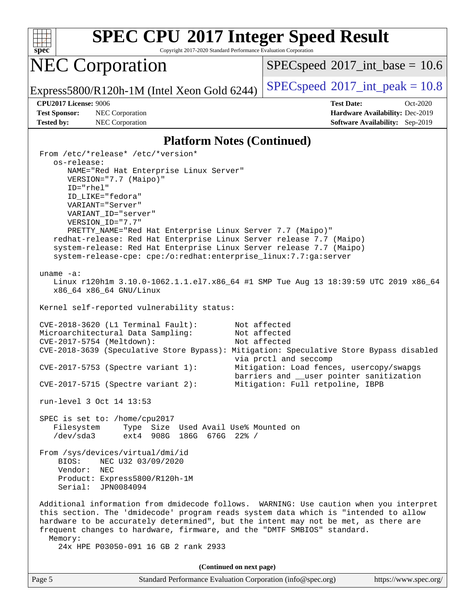

Copyright 2017-2020 Standard Performance Evaluation Corporation

### NEC Corporation

 $SPECspeed^{\circ}2017\_int\_base = 10.6$  $SPECspeed^{\circ}2017\_int\_base = 10.6$ 

Express5800/R120h-1M (Intel Xeon Gold 6244) [SPECspeed](http://www.spec.org/auto/cpu2017/Docs/result-fields.html#SPECspeed2017intpeak)<sup>®</sup>[2017\\_int\\_peak = 1](http://www.spec.org/auto/cpu2017/Docs/result-fields.html#SPECspeed2017intpeak)0.8

**[Test Sponsor:](http://www.spec.org/auto/cpu2017/Docs/result-fields.html#TestSponsor)** NEC Corporation **[Hardware Availability:](http://www.spec.org/auto/cpu2017/Docs/result-fields.html#HardwareAvailability)** Dec-2019 **[Tested by:](http://www.spec.org/auto/cpu2017/Docs/result-fields.html#Testedby)** NEC Corporation **[Software Availability:](http://www.spec.org/auto/cpu2017/Docs/result-fields.html#SoftwareAvailability)** Sep-2019

**[CPU2017 License:](http://www.spec.org/auto/cpu2017/Docs/result-fields.html#CPU2017License)** 9006 **[Test Date:](http://www.spec.org/auto/cpu2017/Docs/result-fields.html#TestDate)** Oct-2020

#### **[Platform Notes \(Continued\)](http://www.spec.org/auto/cpu2017/Docs/result-fields.html#PlatformNotes)**

 From /etc/\*release\* /etc/\*version\* os-release: NAME="Red Hat Enterprise Linux Server" VERSION="7.7 (Maipo)" ID="rhel" ID\_LIKE="fedora" VARIANT="Server" VARIANT\_ID="server" VERSION\_ID="7.7" PRETTY\_NAME="Red Hat Enterprise Linux Server 7.7 (Maipo)" redhat-release: Red Hat Enterprise Linux Server release 7.7 (Maipo) system-release: Red Hat Enterprise Linux Server release 7.7 (Maipo) system-release-cpe: cpe:/o:redhat:enterprise\_linux:7.7:ga:server uname -a: Linux r120h1m 3.10.0-1062.1.1.el7.x86\_64 #1 SMP Tue Aug 13 18:39:59 UTC 2019 x86\_64 x86\_64 x86\_64 GNU/Linux Kernel self-reported vulnerability status: CVE-2018-3620 (L1 Terminal Fault): Not affected Microarchitectural Data Sampling: Not affected CVE-2017-5754 (Meltdown): Not affected CVE-2018-3639 (Speculative Store Bypass): Mitigation: Speculative Store Bypass disabled via prctl and seccomp CVE-2017-5753 (Spectre variant 1): Mitigation: Load fences, usercopy/swapgs barriers and \_\_user pointer sanitization CVE-2017-5715 (Spectre variant 2): Mitigation: Full retpoline, IBPB run-level 3 Oct 14 13:53 SPEC is set to: /home/cpu2017 Filesystem Type Size Used Avail Use% Mounted on /dev/sda3 ext4 908G 186G 676G 22% / From /sys/devices/virtual/dmi/id BIOS: NEC U32 03/09/2020 Vendor: NEC Product: Express5800/R120h-1M Serial: JPN0084094 Additional information from dmidecode follows. WARNING: Use caution when you interpret this section. The 'dmidecode' program reads system data which is "intended to allow hardware to be accurately determined", but the intent may not be met, as there are frequent changes to hardware, firmware, and the "DMTF SMBIOS" standard. Memory: 24x HPE P03050-091 16 GB 2 rank 2933 **(Continued on next page)**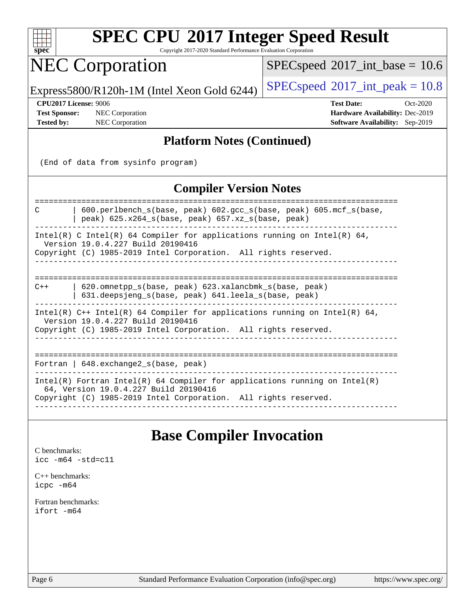

Copyright 2017-2020 Standard Performance Evaluation Corporation

### NEC Corporation

 $SPECspeed^{\circledcirc}2017\_int\_base = 10.6$  $SPECspeed^{\circledcirc}2017\_int\_base = 10.6$ 

Express5800/R120h-1M (Intel Xeon Gold 6244) [SPECspeed](http://www.spec.org/auto/cpu2017/Docs/result-fields.html#SPECspeed2017intpeak)<sup>®</sup>[2017\\_int\\_peak = 1](http://www.spec.org/auto/cpu2017/Docs/result-fields.html#SPECspeed2017intpeak)0.8

**[Test Sponsor:](http://www.spec.org/auto/cpu2017/Docs/result-fields.html#TestSponsor)** NEC Corporation **[Hardware Availability:](http://www.spec.org/auto/cpu2017/Docs/result-fields.html#HardwareAvailability)** Dec-2019

**[CPU2017 License:](http://www.spec.org/auto/cpu2017/Docs/result-fields.html#CPU2017License)** 9006 **[Test Date:](http://www.spec.org/auto/cpu2017/Docs/result-fields.html#TestDate)** Oct-2020 **[Tested by:](http://www.spec.org/auto/cpu2017/Docs/result-fields.html#Testedby)** NEC Corporation **[Software Availability:](http://www.spec.org/auto/cpu2017/Docs/result-fields.html#SoftwareAvailability)** Sep-2019

### **[Platform Notes \(Continued\)](http://www.spec.org/auto/cpu2017/Docs/result-fields.html#PlatformNotes)**

(End of data from sysinfo program)

### **[Compiler Version Notes](http://www.spec.org/auto/cpu2017/Docs/result-fields.html#CompilerVersionNotes)**

============================================================================== C | 600.perlbench\_s(base, peak) 602.gcc\_s(base, peak) 605.mcf\_s(base, | peak) 625.x264\_s(base, peak) 657.xz\_s(base, peak) ------------------------------------------------------------------------------ Intel(R) C Intel(R) 64 Compiler for applications running on Intel(R)  $64$ , Version 19.0.4.227 Build 20190416 Copyright (C) 1985-2019 Intel Corporation. All rights reserved. ------------------------------------------------------------------------------ ============================================================================== C++ | 620.omnetpp\_s(base, peak) 623.xalancbmk\_s(base, peak) | 631.deepsjeng\_s(base, peak) 641.leela\_s(base, peak) ------------------------------------------------------------------------------ Intel(R)  $C++$  Intel(R) 64 Compiler for applications running on Intel(R) 64, Version 19.0.4.227 Build 20190416 Copyright (C) 1985-2019 Intel Corporation. All rights reserved. ------------------------------------------------------------------------------ ============================================================================== Fortran | 648.exchange2 s(base, peak) ------------------------------------------------------------------------------ Intel(R) Fortran Intel(R) 64 Compiler for applications running on Intel(R) 64, Version 19.0.4.227 Build 20190416 Copyright (C) 1985-2019 Intel Corporation. All rights reserved.

------------------------------------------------------------------------------

### **[Base Compiler Invocation](http://www.spec.org/auto/cpu2017/Docs/result-fields.html#BaseCompilerInvocation)**

[C benchmarks](http://www.spec.org/auto/cpu2017/Docs/result-fields.html#Cbenchmarks): [icc -m64 -std=c11](http://www.spec.org/cpu2017/results/res2020q4/cpu2017-20201026-24272.flags.html#user_CCbase_intel_icc_64bit_c11_33ee0cdaae7deeeab2a9725423ba97205ce30f63b9926c2519791662299b76a0318f32ddfffdc46587804de3178b4f9328c46fa7c2b0cd779d7a61945c91cd35)

[C++ benchmarks:](http://www.spec.org/auto/cpu2017/Docs/result-fields.html#CXXbenchmarks) [icpc -m64](http://www.spec.org/cpu2017/results/res2020q4/cpu2017-20201026-24272.flags.html#user_CXXbase_intel_icpc_64bit_4ecb2543ae3f1412ef961e0650ca070fec7b7afdcd6ed48761b84423119d1bf6bdf5cad15b44d48e7256388bc77273b966e5eb805aefd121eb22e9299b2ec9d9)

[Fortran benchmarks](http://www.spec.org/auto/cpu2017/Docs/result-fields.html#Fortranbenchmarks): [ifort -m64](http://www.spec.org/cpu2017/results/res2020q4/cpu2017-20201026-24272.flags.html#user_FCbase_intel_ifort_64bit_24f2bb282fbaeffd6157abe4f878425411749daecae9a33200eee2bee2fe76f3b89351d69a8130dd5949958ce389cf37ff59a95e7a40d588e8d3a57e0c3fd751)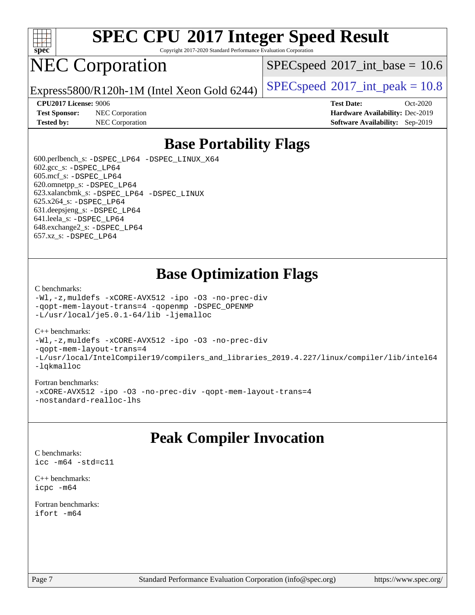

Copyright 2017-2020 Standard Performance Evaluation Corporation

## NEC Corporation

 $SPECspeed^{\circledcirc}2017\_int\_base = 10.6$  $SPECspeed^{\circledcirc}2017\_int\_base = 10.6$ 

Express5800/R120h-1M (Intel Xeon Gold 6244) [SPECspeed](http://www.spec.org/auto/cpu2017/Docs/result-fields.html#SPECspeed2017intpeak)<sup>®</sup>[2017\\_int\\_peak = 1](http://www.spec.org/auto/cpu2017/Docs/result-fields.html#SPECspeed2017intpeak)0.8

**[Test Sponsor:](http://www.spec.org/auto/cpu2017/Docs/result-fields.html#TestSponsor)** NEC Corporation **[Hardware Availability:](http://www.spec.org/auto/cpu2017/Docs/result-fields.html#HardwareAvailability)** Dec-2019

**[CPU2017 License:](http://www.spec.org/auto/cpu2017/Docs/result-fields.html#CPU2017License)** 9006 **[Test Date:](http://www.spec.org/auto/cpu2017/Docs/result-fields.html#TestDate)** Oct-2020 **[Tested by:](http://www.spec.org/auto/cpu2017/Docs/result-fields.html#Testedby)** NEC Corporation **[Software Availability:](http://www.spec.org/auto/cpu2017/Docs/result-fields.html#SoftwareAvailability)** Sep-2019

### **[Base Portability Flags](http://www.spec.org/auto/cpu2017/Docs/result-fields.html#BasePortabilityFlags)**

 600.perlbench\_s: [-DSPEC\\_LP64](http://www.spec.org/cpu2017/results/res2020q4/cpu2017-20201026-24272.flags.html#b600.perlbench_s_basePORTABILITY_DSPEC_LP64) [-DSPEC\\_LINUX\\_X64](http://www.spec.org/cpu2017/results/res2020q4/cpu2017-20201026-24272.flags.html#b600.perlbench_s_baseCPORTABILITY_DSPEC_LINUX_X64)  $602.\text{gcc}\$ : -DSPEC LP64 605.mcf\_s: [-DSPEC\\_LP64](http://www.spec.org/cpu2017/results/res2020q4/cpu2017-20201026-24272.flags.html#suite_basePORTABILITY605_mcf_s_DSPEC_LP64) 620.omnetpp\_s: [-DSPEC\\_LP64](http://www.spec.org/cpu2017/results/res2020q4/cpu2017-20201026-24272.flags.html#suite_basePORTABILITY620_omnetpp_s_DSPEC_LP64) 623.xalancbmk\_s: [-DSPEC\\_LP64](http://www.spec.org/cpu2017/results/res2020q4/cpu2017-20201026-24272.flags.html#suite_basePORTABILITY623_xalancbmk_s_DSPEC_LP64) [-DSPEC\\_LINUX](http://www.spec.org/cpu2017/results/res2020q4/cpu2017-20201026-24272.flags.html#b623.xalancbmk_s_baseCXXPORTABILITY_DSPEC_LINUX) 625.x264\_s: [-DSPEC\\_LP64](http://www.spec.org/cpu2017/results/res2020q4/cpu2017-20201026-24272.flags.html#suite_basePORTABILITY625_x264_s_DSPEC_LP64) 631.deepsjeng\_s: [-DSPEC\\_LP64](http://www.spec.org/cpu2017/results/res2020q4/cpu2017-20201026-24272.flags.html#suite_basePORTABILITY631_deepsjeng_s_DSPEC_LP64) 641.leela\_s: [-DSPEC\\_LP64](http://www.spec.org/cpu2017/results/res2020q4/cpu2017-20201026-24272.flags.html#suite_basePORTABILITY641_leela_s_DSPEC_LP64) 648.exchange2\_s: [-DSPEC\\_LP64](http://www.spec.org/cpu2017/results/res2020q4/cpu2017-20201026-24272.flags.html#suite_basePORTABILITY648_exchange2_s_DSPEC_LP64) 657.xz\_s: [-DSPEC\\_LP64](http://www.spec.org/cpu2017/results/res2020q4/cpu2017-20201026-24272.flags.html#suite_basePORTABILITY657_xz_s_DSPEC_LP64)

### **[Base Optimization Flags](http://www.spec.org/auto/cpu2017/Docs/result-fields.html#BaseOptimizationFlags)**

#### [C benchmarks](http://www.spec.org/auto/cpu2017/Docs/result-fields.html#Cbenchmarks):

[-Wl,-z,muldefs](http://www.spec.org/cpu2017/results/res2020q4/cpu2017-20201026-24272.flags.html#user_CCbase_link_force_multiple1_b4cbdb97b34bdee9ceefcfe54f4c8ea74255f0b02a4b23e853cdb0e18eb4525ac79b5a88067c842dd0ee6996c24547a27a4b99331201badda8798ef8a743f577) [-xCORE-AVX512](http://www.spec.org/cpu2017/results/res2020q4/cpu2017-20201026-24272.flags.html#user_CCbase_f-xCORE-AVX512) [-ipo](http://www.spec.org/cpu2017/results/res2020q4/cpu2017-20201026-24272.flags.html#user_CCbase_f-ipo) [-O3](http://www.spec.org/cpu2017/results/res2020q4/cpu2017-20201026-24272.flags.html#user_CCbase_f-O3) [-no-prec-div](http://www.spec.org/cpu2017/results/res2020q4/cpu2017-20201026-24272.flags.html#user_CCbase_f-no-prec-div) [-qopt-mem-layout-trans=4](http://www.spec.org/cpu2017/results/res2020q4/cpu2017-20201026-24272.flags.html#user_CCbase_f-qopt-mem-layout-trans_fa39e755916c150a61361b7846f310bcdf6f04e385ef281cadf3647acec3f0ae266d1a1d22d972a7087a248fd4e6ca390a3634700869573d231a252c784941a8) [-qopenmp](http://www.spec.org/cpu2017/results/res2020q4/cpu2017-20201026-24272.flags.html#user_CCbase_qopenmp_16be0c44f24f464004c6784a7acb94aca937f053568ce72f94b139a11c7c168634a55f6653758ddd83bcf7b8463e8028bb0b48b77bcddc6b78d5d95bb1df2967) [-DSPEC\\_OPENMP](http://www.spec.org/cpu2017/results/res2020q4/cpu2017-20201026-24272.flags.html#suite_CCbase_DSPEC_OPENMP) [-L/usr/local/je5.0.1-64/lib](http://www.spec.org/cpu2017/results/res2020q4/cpu2017-20201026-24272.flags.html#user_CCbase_jemalloc_link_path64_4b10a636b7bce113509b17f3bd0d6226c5fb2346b9178c2d0232c14f04ab830f976640479e5c33dc2bcbbdad86ecfb6634cbbd4418746f06f368b512fced5394) [-ljemalloc](http://www.spec.org/cpu2017/results/res2020q4/cpu2017-20201026-24272.flags.html#user_CCbase_jemalloc_link_lib_d1249b907c500fa1c0672f44f562e3d0f79738ae9e3c4a9c376d49f265a04b9c99b167ecedbf6711b3085be911c67ff61f150a17b3472be731631ba4d0471706)

#### [C++ benchmarks:](http://www.spec.org/auto/cpu2017/Docs/result-fields.html#CXXbenchmarks)

[-Wl,-z,muldefs](http://www.spec.org/cpu2017/results/res2020q4/cpu2017-20201026-24272.flags.html#user_CXXbase_link_force_multiple1_b4cbdb97b34bdee9ceefcfe54f4c8ea74255f0b02a4b23e853cdb0e18eb4525ac79b5a88067c842dd0ee6996c24547a27a4b99331201badda8798ef8a743f577) [-xCORE-AVX512](http://www.spec.org/cpu2017/results/res2020q4/cpu2017-20201026-24272.flags.html#user_CXXbase_f-xCORE-AVX512) [-ipo](http://www.spec.org/cpu2017/results/res2020q4/cpu2017-20201026-24272.flags.html#user_CXXbase_f-ipo) [-O3](http://www.spec.org/cpu2017/results/res2020q4/cpu2017-20201026-24272.flags.html#user_CXXbase_f-O3) [-no-prec-div](http://www.spec.org/cpu2017/results/res2020q4/cpu2017-20201026-24272.flags.html#user_CXXbase_f-no-prec-div) [-qopt-mem-layout-trans=4](http://www.spec.org/cpu2017/results/res2020q4/cpu2017-20201026-24272.flags.html#user_CXXbase_f-qopt-mem-layout-trans_fa39e755916c150a61361b7846f310bcdf6f04e385ef281cadf3647acec3f0ae266d1a1d22d972a7087a248fd4e6ca390a3634700869573d231a252c784941a8) [-L/usr/local/IntelCompiler19/compilers\\_and\\_libraries\\_2019.4.227/linux/compiler/lib/intel64](http://www.spec.org/cpu2017/results/res2020q4/cpu2017-20201026-24272.flags.html#user_CXXbase_qkmalloc_link_0ffe0cb02c68ef1b443a077c7888c10c67ca0d1dd7138472156f06a085bbad385f78d49618ad55dca9db3b1608e84afc2f69b4003b1d1ca498a9fc1462ccefda) [-lqkmalloc](http://www.spec.org/cpu2017/results/res2020q4/cpu2017-20201026-24272.flags.html#user_CXXbase_qkmalloc_link_lib_79a818439969f771c6bc311cfd333c00fc099dad35c030f5aab9dda831713d2015205805422f83de8875488a2991c0a156aaa600e1f9138f8fc37004abc96dc5)

#### [Fortran benchmarks:](http://www.spec.org/auto/cpu2017/Docs/result-fields.html#Fortranbenchmarks)

[-xCORE-AVX512](http://www.spec.org/cpu2017/results/res2020q4/cpu2017-20201026-24272.flags.html#user_FCbase_f-xCORE-AVX512) [-ipo](http://www.spec.org/cpu2017/results/res2020q4/cpu2017-20201026-24272.flags.html#user_FCbase_f-ipo) [-O3](http://www.spec.org/cpu2017/results/res2020q4/cpu2017-20201026-24272.flags.html#user_FCbase_f-O3) [-no-prec-div](http://www.spec.org/cpu2017/results/res2020q4/cpu2017-20201026-24272.flags.html#user_FCbase_f-no-prec-div) [-qopt-mem-layout-trans=4](http://www.spec.org/cpu2017/results/res2020q4/cpu2017-20201026-24272.flags.html#user_FCbase_f-qopt-mem-layout-trans_fa39e755916c150a61361b7846f310bcdf6f04e385ef281cadf3647acec3f0ae266d1a1d22d972a7087a248fd4e6ca390a3634700869573d231a252c784941a8) [-nostandard-realloc-lhs](http://www.spec.org/cpu2017/results/res2020q4/cpu2017-20201026-24272.flags.html#user_FCbase_f_2003_std_realloc_82b4557e90729c0f113870c07e44d33d6f5a304b4f63d4c15d2d0f1fab99f5daaed73bdb9275d9ae411527f28b936061aa8b9c8f2d63842963b95c9dd6426b8a)

### **[Peak Compiler Invocation](http://www.spec.org/auto/cpu2017/Docs/result-fields.html#PeakCompilerInvocation)**

[C benchmarks](http://www.spec.org/auto/cpu2017/Docs/result-fields.html#Cbenchmarks): [icc -m64 -std=c11](http://www.spec.org/cpu2017/results/res2020q4/cpu2017-20201026-24272.flags.html#user_CCpeak_intel_icc_64bit_c11_33ee0cdaae7deeeab2a9725423ba97205ce30f63b9926c2519791662299b76a0318f32ddfffdc46587804de3178b4f9328c46fa7c2b0cd779d7a61945c91cd35)

[C++ benchmarks:](http://www.spec.org/auto/cpu2017/Docs/result-fields.html#CXXbenchmarks) [icpc -m64](http://www.spec.org/cpu2017/results/res2020q4/cpu2017-20201026-24272.flags.html#user_CXXpeak_intel_icpc_64bit_4ecb2543ae3f1412ef961e0650ca070fec7b7afdcd6ed48761b84423119d1bf6bdf5cad15b44d48e7256388bc77273b966e5eb805aefd121eb22e9299b2ec9d9)

[Fortran benchmarks](http://www.spec.org/auto/cpu2017/Docs/result-fields.html#Fortranbenchmarks): [ifort -m64](http://www.spec.org/cpu2017/results/res2020q4/cpu2017-20201026-24272.flags.html#user_FCpeak_intel_ifort_64bit_24f2bb282fbaeffd6157abe4f878425411749daecae9a33200eee2bee2fe76f3b89351d69a8130dd5949958ce389cf37ff59a95e7a40d588e8d3a57e0c3fd751)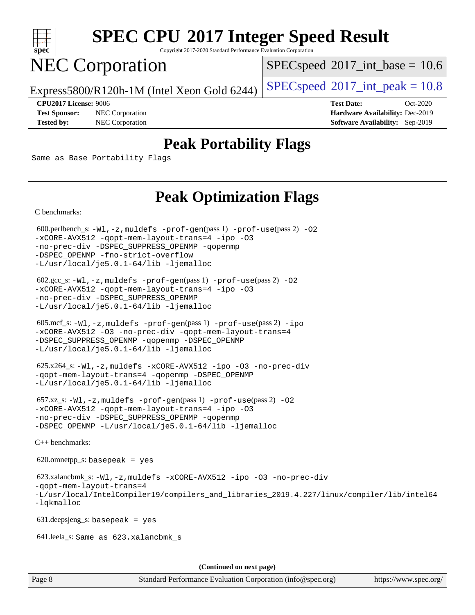

Copyright 2017-2020 Standard Performance Evaluation Corporation

# NEC Corporation

 $SPECspeed^{\circledcirc}2017\_int\_base = 10.6$  $SPECspeed^{\circledcirc}2017\_int\_base = 10.6$ 

Express5800/R120h-1M (Intel Xeon Gold 6244) [SPECspeed](http://www.spec.org/auto/cpu2017/Docs/result-fields.html#SPECspeed2017intpeak)<sup>®</sup>[2017\\_int\\_peak = 1](http://www.spec.org/auto/cpu2017/Docs/result-fields.html#SPECspeed2017intpeak)0.8

**[Test Sponsor:](http://www.spec.org/auto/cpu2017/Docs/result-fields.html#TestSponsor)** NEC Corporation **[Hardware Availability:](http://www.spec.org/auto/cpu2017/Docs/result-fields.html#HardwareAvailability)** Dec-2019 **[Tested by:](http://www.spec.org/auto/cpu2017/Docs/result-fields.html#Testedby)** NEC Corporation **[Software Availability:](http://www.spec.org/auto/cpu2017/Docs/result-fields.html#SoftwareAvailability)** Sep-2019

**[CPU2017 License:](http://www.spec.org/auto/cpu2017/Docs/result-fields.html#CPU2017License)** 9006 **[Test Date:](http://www.spec.org/auto/cpu2017/Docs/result-fields.html#TestDate)** Oct-2020

### **[Peak Portability Flags](http://www.spec.org/auto/cpu2017/Docs/result-fields.html#PeakPortabilityFlags)**

Same as Base Portability Flags

### **[Peak Optimization Flags](http://www.spec.org/auto/cpu2017/Docs/result-fields.html#PeakOptimizationFlags)**

[C benchmarks](http://www.spec.org/auto/cpu2017/Docs/result-fields.html#Cbenchmarks):

600.perlbench\_s:  $-W1$ , -z, muldefs [-prof-gen](http://www.spec.org/cpu2017/results/res2020q4/cpu2017-20201026-24272.flags.html#user_peakPASS1_CFLAGSPASS1_LDFLAGS600_perlbench_s_prof_gen_5aa4926d6013ddb2a31985c654b3eb18169fc0c6952a63635c234f711e6e63dd76e94ad52365559451ec499a2cdb89e4dc58ba4c67ef54ca681ffbe1461d6b36)(pass 1) [-prof-use](http://www.spec.org/cpu2017/results/res2020q4/cpu2017-20201026-24272.flags.html#user_peakPASS2_CFLAGSPASS2_LDFLAGS600_perlbench_s_prof_use_1a21ceae95f36a2b53c25747139a6c16ca95bd9def2a207b4f0849963b97e94f5260e30a0c64f4bb623698870e679ca08317ef8150905d41bd88c6f78df73f19)(pass 2) -02 [-xCORE-AVX512](http://www.spec.org/cpu2017/results/res2020q4/cpu2017-20201026-24272.flags.html#user_peakPASS2_COPTIMIZE600_perlbench_s_f-xCORE-AVX512) [-qopt-mem-layout-trans=4](http://www.spec.org/cpu2017/results/res2020q4/cpu2017-20201026-24272.flags.html#user_peakPASS1_COPTIMIZEPASS2_COPTIMIZE600_perlbench_s_f-qopt-mem-layout-trans_fa39e755916c150a61361b7846f310bcdf6f04e385ef281cadf3647acec3f0ae266d1a1d22d972a7087a248fd4e6ca390a3634700869573d231a252c784941a8) [-ipo](http://www.spec.org/cpu2017/results/res2020q4/cpu2017-20201026-24272.flags.html#user_peakPASS2_COPTIMIZE600_perlbench_s_f-ipo) [-O3](http://www.spec.org/cpu2017/results/res2020q4/cpu2017-20201026-24272.flags.html#user_peakPASS2_COPTIMIZE600_perlbench_s_f-O3) [-no-prec-div](http://www.spec.org/cpu2017/results/res2020q4/cpu2017-20201026-24272.flags.html#user_peakPASS2_COPTIMIZE600_perlbench_s_f-no-prec-div) [-DSPEC\\_SUPPRESS\\_OPENMP](http://www.spec.org/cpu2017/results/res2020q4/cpu2017-20201026-24272.flags.html#suite_peakPASS1_COPTIMIZE600_perlbench_s_DSPEC_SUPPRESS_OPENMP) [-qopenmp](http://www.spec.org/cpu2017/results/res2020q4/cpu2017-20201026-24272.flags.html#user_peakPASS2_COPTIMIZE600_perlbench_s_qopenmp_16be0c44f24f464004c6784a7acb94aca937f053568ce72f94b139a11c7c168634a55f6653758ddd83bcf7b8463e8028bb0b48b77bcddc6b78d5d95bb1df2967) [-DSPEC\\_OPENMP](http://www.spec.org/cpu2017/results/res2020q4/cpu2017-20201026-24272.flags.html#suite_peakPASS2_COPTIMIZE600_perlbench_s_DSPEC_OPENMP) [-fno-strict-overflow](http://www.spec.org/cpu2017/results/res2020q4/cpu2017-20201026-24272.flags.html#user_peakEXTRA_OPTIMIZE600_perlbench_s_f-fno-strict-overflow) [-L/usr/local/je5.0.1-64/lib](http://www.spec.org/cpu2017/results/res2020q4/cpu2017-20201026-24272.flags.html#user_peakEXTRA_LIBS600_perlbench_s_jemalloc_link_path64_4b10a636b7bce113509b17f3bd0d6226c5fb2346b9178c2d0232c14f04ab830f976640479e5c33dc2bcbbdad86ecfb6634cbbd4418746f06f368b512fced5394) [-ljemalloc](http://www.spec.org/cpu2017/results/res2020q4/cpu2017-20201026-24272.flags.html#user_peakEXTRA_LIBS600_perlbench_s_jemalloc_link_lib_d1249b907c500fa1c0672f44f562e3d0f79738ae9e3c4a9c376d49f265a04b9c99b167ecedbf6711b3085be911c67ff61f150a17b3472be731631ba4d0471706)

 602.gcc\_s: [-Wl,-z,muldefs](http://www.spec.org/cpu2017/results/res2020q4/cpu2017-20201026-24272.flags.html#user_peakEXTRA_LDFLAGS602_gcc_s_link_force_multiple1_b4cbdb97b34bdee9ceefcfe54f4c8ea74255f0b02a4b23e853cdb0e18eb4525ac79b5a88067c842dd0ee6996c24547a27a4b99331201badda8798ef8a743f577) [-prof-gen](http://www.spec.org/cpu2017/results/res2020q4/cpu2017-20201026-24272.flags.html#user_peakPASS1_CFLAGSPASS1_LDFLAGS602_gcc_s_prof_gen_5aa4926d6013ddb2a31985c654b3eb18169fc0c6952a63635c234f711e6e63dd76e94ad52365559451ec499a2cdb89e4dc58ba4c67ef54ca681ffbe1461d6b36)(pass 1) [-prof-use](http://www.spec.org/cpu2017/results/res2020q4/cpu2017-20201026-24272.flags.html#user_peakPASS2_CFLAGSPASS2_LDFLAGS602_gcc_s_prof_use_1a21ceae95f36a2b53c25747139a6c16ca95bd9def2a207b4f0849963b97e94f5260e30a0c64f4bb623698870e679ca08317ef8150905d41bd88c6f78df73f19)(pass 2) [-O2](http://www.spec.org/cpu2017/results/res2020q4/cpu2017-20201026-24272.flags.html#user_peakPASS1_COPTIMIZE602_gcc_s_f-O2) [-xCORE-AVX512](http://www.spec.org/cpu2017/results/res2020q4/cpu2017-20201026-24272.flags.html#user_peakPASS2_COPTIMIZE602_gcc_s_f-xCORE-AVX512) [-qopt-mem-layout-trans=4](http://www.spec.org/cpu2017/results/res2020q4/cpu2017-20201026-24272.flags.html#user_peakPASS1_COPTIMIZEPASS2_COPTIMIZE602_gcc_s_f-qopt-mem-layout-trans_fa39e755916c150a61361b7846f310bcdf6f04e385ef281cadf3647acec3f0ae266d1a1d22d972a7087a248fd4e6ca390a3634700869573d231a252c784941a8) [-ipo](http://www.spec.org/cpu2017/results/res2020q4/cpu2017-20201026-24272.flags.html#user_peakPASS2_COPTIMIZE602_gcc_s_f-ipo) [-O3](http://www.spec.org/cpu2017/results/res2020q4/cpu2017-20201026-24272.flags.html#user_peakPASS2_COPTIMIZE602_gcc_s_f-O3) [-no-prec-div](http://www.spec.org/cpu2017/results/res2020q4/cpu2017-20201026-24272.flags.html#user_peakPASS2_COPTIMIZE602_gcc_s_f-no-prec-div) [-DSPEC\\_SUPPRESS\\_OPENMP](http://www.spec.org/cpu2017/results/res2020q4/cpu2017-20201026-24272.flags.html#suite_peakPASS1_COPTIMIZE602_gcc_s_DSPEC_SUPPRESS_OPENMP) [-L/usr/local/je5.0.1-64/lib](http://www.spec.org/cpu2017/results/res2020q4/cpu2017-20201026-24272.flags.html#user_peakEXTRA_LIBS602_gcc_s_jemalloc_link_path64_4b10a636b7bce113509b17f3bd0d6226c5fb2346b9178c2d0232c14f04ab830f976640479e5c33dc2bcbbdad86ecfb6634cbbd4418746f06f368b512fced5394) [-ljemalloc](http://www.spec.org/cpu2017/results/res2020q4/cpu2017-20201026-24272.flags.html#user_peakEXTRA_LIBS602_gcc_s_jemalloc_link_lib_d1249b907c500fa1c0672f44f562e3d0f79738ae9e3c4a9c376d49f265a04b9c99b167ecedbf6711b3085be911c67ff61f150a17b3472be731631ba4d0471706)

 605.mcf\_s: [-Wl,-z,muldefs](http://www.spec.org/cpu2017/results/res2020q4/cpu2017-20201026-24272.flags.html#user_peakEXTRA_LDFLAGS605_mcf_s_link_force_multiple1_b4cbdb97b34bdee9ceefcfe54f4c8ea74255f0b02a4b23e853cdb0e18eb4525ac79b5a88067c842dd0ee6996c24547a27a4b99331201badda8798ef8a743f577) [-prof-gen](http://www.spec.org/cpu2017/results/res2020q4/cpu2017-20201026-24272.flags.html#user_peakPASS1_CFLAGSPASS1_LDFLAGS605_mcf_s_prof_gen_5aa4926d6013ddb2a31985c654b3eb18169fc0c6952a63635c234f711e6e63dd76e94ad52365559451ec499a2cdb89e4dc58ba4c67ef54ca681ffbe1461d6b36)(pass 1) [-prof-use](http://www.spec.org/cpu2017/results/res2020q4/cpu2017-20201026-24272.flags.html#user_peakPASS2_CFLAGSPASS2_LDFLAGS605_mcf_s_prof_use_1a21ceae95f36a2b53c25747139a6c16ca95bd9def2a207b4f0849963b97e94f5260e30a0c64f4bb623698870e679ca08317ef8150905d41bd88c6f78df73f19)(pass 2) [-ipo](http://www.spec.org/cpu2017/results/res2020q4/cpu2017-20201026-24272.flags.html#user_peakPASS1_COPTIMIZEPASS2_COPTIMIZE605_mcf_s_f-ipo) [-xCORE-AVX512](http://www.spec.org/cpu2017/results/res2020q4/cpu2017-20201026-24272.flags.html#user_peakPASS2_COPTIMIZE605_mcf_s_f-xCORE-AVX512) [-O3](http://www.spec.org/cpu2017/results/res2020q4/cpu2017-20201026-24272.flags.html#user_peakPASS1_COPTIMIZEPASS2_COPTIMIZE605_mcf_s_f-O3) [-no-prec-div](http://www.spec.org/cpu2017/results/res2020q4/cpu2017-20201026-24272.flags.html#user_peakPASS1_COPTIMIZEPASS2_COPTIMIZE605_mcf_s_f-no-prec-div) [-qopt-mem-layout-trans=4](http://www.spec.org/cpu2017/results/res2020q4/cpu2017-20201026-24272.flags.html#user_peakPASS1_COPTIMIZEPASS2_COPTIMIZE605_mcf_s_f-qopt-mem-layout-trans_fa39e755916c150a61361b7846f310bcdf6f04e385ef281cadf3647acec3f0ae266d1a1d22d972a7087a248fd4e6ca390a3634700869573d231a252c784941a8) [-DSPEC\\_SUPPRESS\\_OPENMP](http://www.spec.org/cpu2017/results/res2020q4/cpu2017-20201026-24272.flags.html#suite_peakPASS1_COPTIMIZE605_mcf_s_DSPEC_SUPPRESS_OPENMP) [-qopenmp](http://www.spec.org/cpu2017/results/res2020q4/cpu2017-20201026-24272.flags.html#user_peakPASS2_COPTIMIZE605_mcf_s_qopenmp_16be0c44f24f464004c6784a7acb94aca937f053568ce72f94b139a11c7c168634a55f6653758ddd83bcf7b8463e8028bb0b48b77bcddc6b78d5d95bb1df2967) [-DSPEC\\_OPENMP](http://www.spec.org/cpu2017/results/res2020q4/cpu2017-20201026-24272.flags.html#suite_peakPASS2_COPTIMIZE605_mcf_s_DSPEC_OPENMP) [-L/usr/local/je5.0.1-64/lib](http://www.spec.org/cpu2017/results/res2020q4/cpu2017-20201026-24272.flags.html#user_peakEXTRA_LIBS605_mcf_s_jemalloc_link_path64_4b10a636b7bce113509b17f3bd0d6226c5fb2346b9178c2d0232c14f04ab830f976640479e5c33dc2bcbbdad86ecfb6634cbbd4418746f06f368b512fced5394) [-ljemalloc](http://www.spec.org/cpu2017/results/res2020q4/cpu2017-20201026-24272.flags.html#user_peakEXTRA_LIBS605_mcf_s_jemalloc_link_lib_d1249b907c500fa1c0672f44f562e3d0f79738ae9e3c4a9c376d49f265a04b9c99b167ecedbf6711b3085be911c67ff61f150a17b3472be731631ba4d0471706)

 625.x264\_s: [-Wl,-z,muldefs](http://www.spec.org/cpu2017/results/res2020q4/cpu2017-20201026-24272.flags.html#user_peakEXTRA_LDFLAGS625_x264_s_link_force_multiple1_b4cbdb97b34bdee9ceefcfe54f4c8ea74255f0b02a4b23e853cdb0e18eb4525ac79b5a88067c842dd0ee6996c24547a27a4b99331201badda8798ef8a743f577) [-xCORE-AVX512](http://www.spec.org/cpu2017/results/res2020q4/cpu2017-20201026-24272.flags.html#user_peakCOPTIMIZE625_x264_s_f-xCORE-AVX512) [-ipo](http://www.spec.org/cpu2017/results/res2020q4/cpu2017-20201026-24272.flags.html#user_peakCOPTIMIZE625_x264_s_f-ipo) [-O3](http://www.spec.org/cpu2017/results/res2020q4/cpu2017-20201026-24272.flags.html#user_peakCOPTIMIZE625_x264_s_f-O3) [-no-prec-div](http://www.spec.org/cpu2017/results/res2020q4/cpu2017-20201026-24272.flags.html#user_peakCOPTIMIZE625_x264_s_f-no-prec-div) [-qopt-mem-layout-trans=4](http://www.spec.org/cpu2017/results/res2020q4/cpu2017-20201026-24272.flags.html#user_peakCOPTIMIZE625_x264_s_f-qopt-mem-layout-trans_fa39e755916c150a61361b7846f310bcdf6f04e385ef281cadf3647acec3f0ae266d1a1d22d972a7087a248fd4e6ca390a3634700869573d231a252c784941a8) [-qopenmp](http://www.spec.org/cpu2017/results/res2020q4/cpu2017-20201026-24272.flags.html#user_peakCOPTIMIZE625_x264_s_qopenmp_16be0c44f24f464004c6784a7acb94aca937f053568ce72f94b139a11c7c168634a55f6653758ddd83bcf7b8463e8028bb0b48b77bcddc6b78d5d95bb1df2967) [-DSPEC\\_OPENMP](http://www.spec.org/cpu2017/results/res2020q4/cpu2017-20201026-24272.flags.html#suite_peakCOPTIMIZE625_x264_s_DSPEC_OPENMP) [-L/usr/local/je5.0.1-64/lib](http://www.spec.org/cpu2017/results/res2020q4/cpu2017-20201026-24272.flags.html#user_peakEXTRA_LIBS625_x264_s_jemalloc_link_path64_4b10a636b7bce113509b17f3bd0d6226c5fb2346b9178c2d0232c14f04ab830f976640479e5c33dc2bcbbdad86ecfb6634cbbd4418746f06f368b512fced5394) [-ljemalloc](http://www.spec.org/cpu2017/results/res2020q4/cpu2017-20201026-24272.flags.html#user_peakEXTRA_LIBS625_x264_s_jemalloc_link_lib_d1249b907c500fa1c0672f44f562e3d0f79738ae9e3c4a9c376d49f265a04b9c99b167ecedbf6711b3085be911c67ff61f150a17b3472be731631ba4d0471706)

 657.xz\_s: [-Wl,-z,muldefs](http://www.spec.org/cpu2017/results/res2020q4/cpu2017-20201026-24272.flags.html#user_peakEXTRA_LDFLAGS657_xz_s_link_force_multiple1_b4cbdb97b34bdee9ceefcfe54f4c8ea74255f0b02a4b23e853cdb0e18eb4525ac79b5a88067c842dd0ee6996c24547a27a4b99331201badda8798ef8a743f577) [-prof-gen](http://www.spec.org/cpu2017/results/res2020q4/cpu2017-20201026-24272.flags.html#user_peakPASS1_CFLAGSPASS1_LDFLAGS657_xz_s_prof_gen_5aa4926d6013ddb2a31985c654b3eb18169fc0c6952a63635c234f711e6e63dd76e94ad52365559451ec499a2cdb89e4dc58ba4c67ef54ca681ffbe1461d6b36)(pass 1) [-prof-use](http://www.spec.org/cpu2017/results/res2020q4/cpu2017-20201026-24272.flags.html#user_peakPASS2_CFLAGSPASS2_LDFLAGS657_xz_s_prof_use_1a21ceae95f36a2b53c25747139a6c16ca95bd9def2a207b4f0849963b97e94f5260e30a0c64f4bb623698870e679ca08317ef8150905d41bd88c6f78df73f19)(pass 2) [-O2](http://www.spec.org/cpu2017/results/res2020q4/cpu2017-20201026-24272.flags.html#user_peakPASS1_COPTIMIZE657_xz_s_f-O2) [-xCORE-AVX512](http://www.spec.org/cpu2017/results/res2020q4/cpu2017-20201026-24272.flags.html#user_peakPASS2_COPTIMIZE657_xz_s_f-xCORE-AVX512) [-qopt-mem-layout-trans=4](http://www.spec.org/cpu2017/results/res2020q4/cpu2017-20201026-24272.flags.html#user_peakPASS1_COPTIMIZEPASS2_COPTIMIZE657_xz_s_f-qopt-mem-layout-trans_fa39e755916c150a61361b7846f310bcdf6f04e385ef281cadf3647acec3f0ae266d1a1d22d972a7087a248fd4e6ca390a3634700869573d231a252c784941a8) [-ipo](http://www.spec.org/cpu2017/results/res2020q4/cpu2017-20201026-24272.flags.html#user_peakPASS2_COPTIMIZE657_xz_s_f-ipo) [-O3](http://www.spec.org/cpu2017/results/res2020q4/cpu2017-20201026-24272.flags.html#user_peakPASS2_COPTIMIZE657_xz_s_f-O3) [-no-prec-div](http://www.spec.org/cpu2017/results/res2020q4/cpu2017-20201026-24272.flags.html#user_peakPASS2_COPTIMIZE657_xz_s_f-no-prec-div) [-DSPEC\\_SUPPRESS\\_OPENMP](http://www.spec.org/cpu2017/results/res2020q4/cpu2017-20201026-24272.flags.html#suite_peakPASS1_COPTIMIZE657_xz_s_DSPEC_SUPPRESS_OPENMP) [-qopenmp](http://www.spec.org/cpu2017/results/res2020q4/cpu2017-20201026-24272.flags.html#user_peakPASS2_COPTIMIZE657_xz_s_qopenmp_16be0c44f24f464004c6784a7acb94aca937f053568ce72f94b139a11c7c168634a55f6653758ddd83bcf7b8463e8028bb0b48b77bcddc6b78d5d95bb1df2967) [-DSPEC\\_OPENMP](http://www.spec.org/cpu2017/results/res2020q4/cpu2017-20201026-24272.flags.html#suite_peakPASS2_COPTIMIZE657_xz_s_DSPEC_OPENMP) [-L/usr/local/je5.0.1-64/lib](http://www.spec.org/cpu2017/results/res2020q4/cpu2017-20201026-24272.flags.html#user_peakEXTRA_LIBS657_xz_s_jemalloc_link_path64_4b10a636b7bce113509b17f3bd0d6226c5fb2346b9178c2d0232c14f04ab830f976640479e5c33dc2bcbbdad86ecfb6634cbbd4418746f06f368b512fced5394) [-ljemalloc](http://www.spec.org/cpu2017/results/res2020q4/cpu2017-20201026-24272.flags.html#user_peakEXTRA_LIBS657_xz_s_jemalloc_link_lib_d1249b907c500fa1c0672f44f562e3d0f79738ae9e3c4a9c376d49f265a04b9c99b167ecedbf6711b3085be911c67ff61f150a17b3472be731631ba4d0471706)

[C++ benchmarks:](http://www.spec.org/auto/cpu2017/Docs/result-fields.html#CXXbenchmarks)

620.omnetpp\_s: basepeak = yes

```
 623.xalancbmk_s: -Wl,-z,muldefs -xCORE-AVX512 -ipo -O3 -no-prec-div
-qopt-mem-layout-trans=4
-L/usr/local/IntelCompiler19/compilers_and_libraries_2019.4.227/linux/compiler/lib/intel64
-lqkmalloc
```
631.deepsjeng\_s: basepeak = yes

641.leela\_s: Same as 623.xalancbmk\_s

**(Continued on next page)**